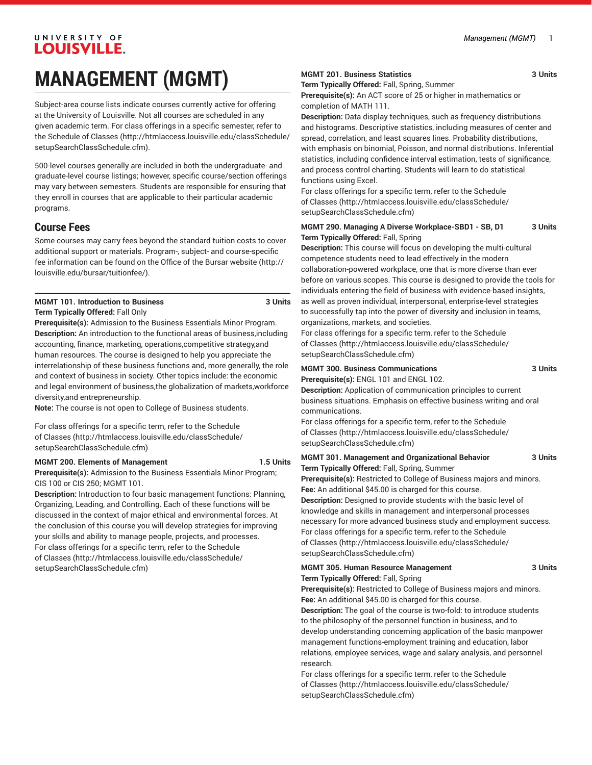# UNIVERSITY OF LOUISVILLE. **MANAGEMENT (MGMT)**

Subject-area course lists indicate courses currently active for offering at the University of Louisville. Not all courses are scheduled in any given academic term. For class offerings in a specific semester, refer to the [Schedule of Classes](http://htmlaccess.louisville.edu/classSchedule/setupSearchClassSchedule.cfm) ([http://htmlaccess.louisville.edu/classSchedule/](http://htmlaccess.louisville.edu/classSchedule/setupSearchClassSchedule.cfm) [setupSearchClassSchedule.cfm\)](http://htmlaccess.louisville.edu/classSchedule/setupSearchClassSchedule.cfm).

500-level courses generally are included in both the undergraduate- and graduate-level course listings; however, specific course/section offerings may vary between semesters. Students are responsible for ensuring that they enroll in courses that are applicable to their particular academic programs.

## **Course Fees**

Some courses may carry fees beyond the standard tuition costs to cover additional support or materials. Program-, subject- and course-specific fee information can be found on the [Office of the Bursar website](http://louisville.edu/bursar/tuitionfee/) ([http://](http://louisville.edu/bursar/tuitionfee/) [louisville.edu/bursar/tuitionfee/](http://louisville.edu/bursar/tuitionfee/)).

#### **MGMT 101. Introduction to Business 3 Units Term Typically Offered:** Fall Only

**Prerequisite(s):** Admission to the Business Essentials Minor Program. **Description:** An introduction to the functional areas of business,including accounting, finance, marketing, operations,competitive strategy,and human resources. The course is designed to help you appreciate the interrelationship of these business functions and, more generally, the role and context of business in society. Other topics include: the economic and legal environment of business,the globalization of markets,workforce diversity,and entrepreneurship.

**Note:** The course is not open to College of Business students.

For class offerings for a specific term, refer to the [Schedule](http://htmlaccess.louisville.edu/classSchedule/setupSearchClassSchedule.cfm) [of Classes \(http://htmlaccess.louisville.edu/classSchedule/](http://htmlaccess.louisville.edu/classSchedule/setupSearchClassSchedule.cfm) [setupSearchClassSchedule.cfm\)](http://htmlaccess.louisville.edu/classSchedule/setupSearchClassSchedule.cfm)

#### **MGMT 200. Elements of Management 1.5 Units**

**Prerequisite(s):** Admission to the Business Essentials Minor Program; CIS 100 or CIS 250; MGMT 101.

**Description:** Introduction to four basic management functions: Planning, Organizing, Leading, and Controlling. Each of these functions will be discussed in the context of major ethical and environmental forces. At the conclusion of this course you will develop strategies for improving your skills and ability to manage people, projects, and processes. For class offerings for a specific term, refer to the [Schedule](http://htmlaccess.louisville.edu/classSchedule/setupSearchClassSchedule.cfm) [of Classes \(http://htmlaccess.louisville.edu/classSchedule/](http://htmlaccess.louisville.edu/classSchedule/setupSearchClassSchedule.cfm) [setupSearchClassSchedule.cfm\)](http://htmlaccess.louisville.edu/classSchedule/setupSearchClassSchedule.cfm)

#### **MGMT 201. Business Statistics 3 Units**

**Term Typically Offered:** Fall, Spring, Summer

**Prerequisite(s):** An ACT score of 25 or higher in mathematics or completion of MATH 111.

**Description:** Data display techniques, such as frequency distributions and histograms. Descriptive statistics, including measures of center and spread, correlation, and least squares lines. Probability distributions, with emphasis on binomial, Poisson, and normal distributions. Inferential statistics, including confidence interval estimation, tests of significance, and process control charting. Students will learn to do statistical functions using Excel.

For class offerings for a specific term, refer to the [Schedule](http://htmlaccess.louisville.edu/classSchedule/setupSearchClassSchedule.cfm) [of Classes](http://htmlaccess.louisville.edu/classSchedule/setupSearchClassSchedule.cfm) ([http://htmlaccess.louisville.edu/classSchedule/](http://htmlaccess.louisville.edu/classSchedule/setupSearchClassSchedule.cfm) [setupSearchClassSchedule.cfm\)](http://htmlaccess.louisville.edu/classSchedule/setupSearchClassSchedule.cfm)

#### **MGMT 290. Managing A Diverse Workplace-SBD1 - SB, D1 3 Units Term Typically Offered:** Fall, Spring

**Description:** This course will focus on developing the multi-cultural competence students need to lead effectively in the modern collaboration-powered workplace, one that is more diverse than ever before on various scopes. This course is designed to provide the tools for individuals entering the field of business with evidence-based insights, as well as proven individual, interpersonal, enterprise-level strategies to successfully tap into the power of diversity and inclusion in teams, organizations, markets, and societies.

For class offerings for a specific term, refer to the [Schedule](http://htmlaccess.louisville.edu/classSchedule/setupSearchClassSchedule.cfm) [of Classes](http://htmlaccess.louisville.edu/classSchedule/setupSearchClassSchedule.cfm) ([http://htmlaccess.louisville.edu/classSchedule/](http://htmlaccess.louisville.edu/classSchedule/setupSearchClassSchedule.cfm) [setupSearchClassSchedule.cfm\)](http://htmlaccess.louisville.edu/classSchedule/setupSearchClassSchedule.cfm)

## **MGMT 300. Business Communications 3 Units**

**Prerequisite(s):** ENGL 101 and ENGL 102.

**Description:** Application of communication principles to current business situations. Emphasis on effective business writing and oral communications.

For class offerings for a specific term, refer to the [Schedule](http://htmlaccess.louisville.edu/classSchedule/setupSearchClassSchedule.cfm) [of Classes](http://htmlaccess.louisville.edu/classSchedule/setupSearchClassSchedule.cfm) ([http://htmlaccess.louisville.edu/classSchedule/](http://htmlaccess.louisville.edu/classSchedule/setupSearchClassSchedule.cfm) [setupSearchClassSchedule.cfm\)](http://htmlaccess.louisville.edu/classSchedule/setupSearchClassSchedule.cfm)

#### **MGMT 301. Management and Organizational Behavior 3 Units Term Typically Offered:** Fall, Spring, Summer

**Prerequisite(s):** Restricted to College of Business majors and minors. **Fee:** An additional \$45.00 is charged for this course. **Description:** Designed to provide students with the basic level of knowledge and skills in management and interpersonal processes necessary for more advanced business study and employment success. For class offerings for a specific term, refer to the [Schedule](http://htmlaccess.louisville.edu/classSchedule/setupSearchClassSchedule.cfm) [of Classes](http://htmlaccess.louisville.edu/classSchedule/setupSearchClassSchedule.cfm) ([http://htmlaccess.louisville.edu/classSchedule/](http://htmlaccess.louisville.edu/classSchedule/setupSearchClassSchedule.cfm) [setupSearchClassSchedule.cfm\)](http://htmlaccess.louisville.edu/classSchedule/setupSearchClassSchedule.cfm)

#### **MGMT 305. Human Resource Management 3 Units Term Typically Offered:** Fall, Spring

**Prerequisite(s):** Restricted to College of Business majors and minors. **Fee:** An additional \$45.00 is charged for this course.

**Description:** The goal of the course is two-fold: to introduce students to the philosophy of the personnel function in business, and to develop understanding concerning application of the basic manpower management functions-employment training and education, labor relations, employee services, wage and salary analysis, and personnel research.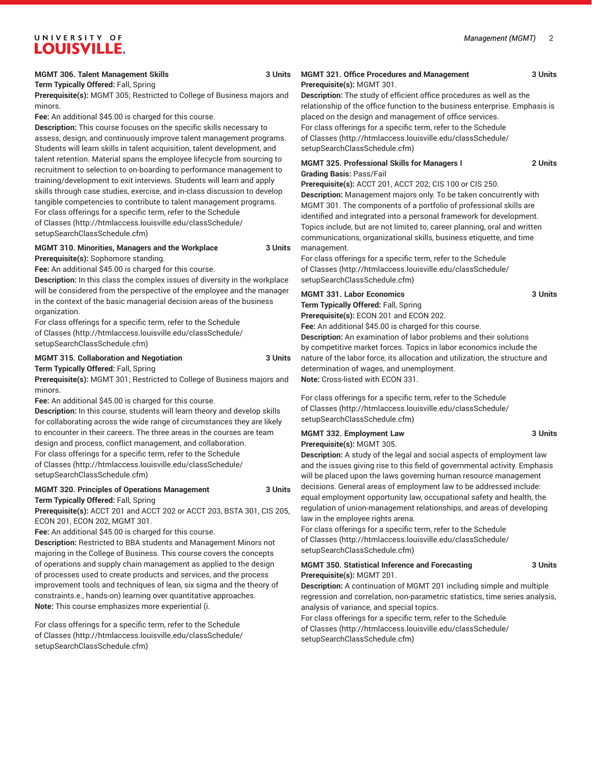**Term Typically Offered:** Fall, Spring

**Prerequisite(s):** MGMT 305; Restricted to College of Business majors and minors.

**Fee:** An additional \$45.00 is charged for this course.

**Description:** This course focuses on the specific skills necessary to assess, design, and continuously improve talent management programs. Students will learn skills in talent acquisition, talent development, and talent retention. Material spans the employee lifecycle from sourcing to recruitment to selection to on-boarding to performance management to training/development to exit interviews. Students will learn and apply skills through case studies, exercise, and in-class discussion to develop tangible competencies to contribute to talent management programs. For class offerings for a specific term, refer to the [Schedule](http://htmlaccess.louisville.edu/classSchedule/setupSearchClassSchedule.cfm) [of Classes \(http://htmlaccess.louisville.edu/classSchedule/](http://htmlaccess.louisville.edu/classSchedule/setupSearchClassSchedule.cfm) [setupSearchClassSchedule.cfm\)](http://htmlaccess.louisville.edu/classSchedule/setupSearchClassSchedule.cfm)

#### **MGMT 310. Minorities, Managers and the Workplace 3 Units**

**Prerequisite(s):** Sophomore standing.

**Fee:** An additional \$45.00 is charged for this course.

**Description:** In this class the complex issues of diversity in the workplace will be considered from the perspective of the employee and the manager in the context of the basic managerial decision areas of the business organization.

For class offerings for a specific term, refer to the [Schedule](http://htmlaccess.louisville.edu/classSchedule/setupSearchClassSchedule.cfm) [of Classes \(http://htmlaccess.louisville.edu/classSchedule/](http://htmlaccess.louisville.edu/classSchedule/setupSearchClassSchedule.cfm) [setupSearchClassSchedule.cfm\)](http://htmlaccess.louisville.edu/classSchedule/setupSearchClassSchedule.cfm)

#### **MGMT 315. Collaboration and Negotiation 3 Units**

**Term Typically Offered:** Fall, Spring

**Prerequisite(s):** MGMT 301; Restricted to College of Business majors and minors.

**Fee:** An additional \$45.00 is charged for this course.

**Description:** In this course, students will learn theory and develop skills for collaborating across the wide range of circumstances they are likely to encounter in their careers. The three areas in the courses are team design and process, conflict management, and collaboration. For class offerings for a specific term, refer to the [Schedule](http://htmlaccess.louisville.edu/classSchedule/setupSearchClassSchedule.cfm) [of Classes \(http://htmlaccess.louisville.edu/classSchedule/](http://htmlaccess.louisville.edu/classSchedule/setupSearchClassSchedule.cfm) [setupSearchClassSchedule.cfm\)](http://htmlaccess.louisville.edu/classSchedule/setupSearchClassSchedule.cfm)

#### **MGMT 320. Principles of Operations Management 3 Units Term Typically Offered:** Fall, Spring

**Prerequisite(s):** ACCT 201 and ACCT 202 or ACCT 203, BSTA 301, CIS 205, ECON 201, ECON 202, MGMT 301.

**Fee:** An additional \$45.00 is charged for this course.

**Description:** Restricted to BBA students and Management Minors not majoring in the College of Business. This course covers the concepts of operations and supply chain management as applied to the design of processes used to create products and services, and the process improvement tools and techniques of lean, six sigma and the theory of constraints.e., hands-on) learning over quantitative approaches. **Note:** This course emphasizes more experiential (i.

For class offerings for a specific term, refer to the [Schedule](http://htmlaccess.louisville.edu/classSchedule/setupSearchClassSchedule.cfm) [of Classes \(http://htmlaccess.louisville.edu/classSchedule/](http://htmlaccess.louisville.edu/classSchedule/setupSearchClassSchedule.cfm) [setupSearchClassSchedule.cfm\)](http://htmlaccess.louisville.edu/classSchedule/setupSearchClassSchedule.cfm)

#### **MGMT 321. Office Procedures and Management 3 Units Prerequisite(s):** MGMT 301.

**Description:** The study of efficient office procedures as well as the relationship of the office function to the business enterprise. Emphasis is placed on the design and management of office services. For class offerings for a specific term, refer to the [Schedule](http://htmlaccess.louisville.edu/classSchedule/setupSearchClassSchedule.cfm) [of Classes](http://htmlaccess.louisville.edu/classSchedule/setupSearchClassSchedule.cfm) ([http://htmlaccess.louisville.edu/classSchedule/](http://htmlaccess.louisville.edu/classSchedule/setupSearchClassSchedule.cfm) [setupSearchClassSchedule.cfm\)](http://htmlaccess.louisville.edu/classSchedule/setupSearchClassSchedule.cfm)

#### **MGMT 325. Professional Skills for Managers I 2 Units Grading Basis:** Pass/Fail

**Prerequisite(s):** ACCT 201, ACCT 202; CIS 100 or CIS 250. **Description:** Management majors only. To be taken concurrently with MGMT 301. The components of a portfolio of professional skills are identified and integrated into a personal framework for development. Topics include, but are not limited to, career planning, oral and written communications, organizational skills, business etiquette, and time management.

For class offerings for a specific term, refer to the [Schedule](http://htmlaccess.louisville.edu/classSchedule/setupSearchClassSchedule.cfm) [of Classes](http://htmlaccess.louisville.edu/classSchedule/setupSearchClassSchedule.cfm) ([http://htmlaccess.louisville.edu/classSchedule/](http://htmlaccess.louisville.edu/classSchedule/setupSearchClassSchedule.cfm) [setupSearchClassSchedule.cfm\)](http://htmlaccess.louisville.edu/classSchedule/setupSearchClassSchedule.cfm)

### **MGMT 331. Labor Economics 3 Units**

**Term Typically Offered:** Fall, Spring

**Prerequisite(s):** ECON 201 and ECON 202. **Fee:** An additional \$45.00 is charged for this course.

**Description:** An examination of labor problems and their solutions by competitive market forces. Topics in labor economics include the nature of the labor force, its allocation and utilization, the structure and determination of wages, and unemployment. **Note:** Cross-listed with ECON 331.

For class offerings for a specific term, refer to the [Schedule](http://htmlaccess.louisville.edu/classSchedule/setupSearchClassSchedule.cfm) [of Classes](http://htmlaccess.louisville.edu/classSchedule/setupSearchClassSchedule.cfm) ([http://htmlaccess.louisville.edu/classSchedule/](http://htmlaccess.louisville.edu/classSchedule/setupSearchClassSchedule.cfm) [setupSearchClassSchedule.cfm\)](http://htmlaccess.louisville.edu/classSchedule/setupSearchClassSchedule.cfm)

#### **MGMT 332. Employment Law 3 Units Prerequisite(s):** MGMT 305.

**Description:** A study of the legal and social aspects of employment law and the issues giving rise to this field of governmental activity. Emphasis will be placed upon the laws governing human resource management decisions. General areas of employment law to be addressed include: equal employment opportunity law, occupational safety and health, the regulation of union-management relationships, and areas of developing law in the employee rights arena.

For class offerings for a specific term, refer to the [Schedule](http://htmlaccess.louisville.edu/classSchedule/setupSearchClassSchedule.cfm) [of Classes](http://htmlaccess.louisville.edu/classSchedule/setupSearchClassSchedule.cfm) ([http://htmlaccess.louisville.edu/classSchedule/](http://htmlaccess.louisville.edu/classSchedule/setupSearchClassSchedule.cfm) [setupSearchClassSchedule.cfm\)](http://htmlaccess.louisville.edu/classSchedule/setupSearchClassSchedule.cfm)

#### **MGMT 350. Statistical Inference and Forecasting 3 Units Prerequisite(s):** MGMT 201.

**Description:** A continuation of MGMT 201 including simple and multiple regression and correlation, non-parametric statistics, time series analysis, analysis of variance, and special topics.

For class offerings for a specific term, refer to the [Schedule](http://htmlaccess.louisville.edu/classSchedule/setupSearchClassSchedule.cfm) [of Classes](http://htmlaccess.louisville.edu/classSchedule/setupSearchClassSchedule.cfm) ([http://htmlaccess.louisville.edu/classSchedule/](http://htmlaccess.louisville.edu/classSchedule/setupSearchClassSchedule.cfm) [setupSearchClassSchedule.cfm\)](http://htmlaccess.louisville.edu/classSchedule/setupSearchClassSchedule.cfm)

*Management (MGMT)* 2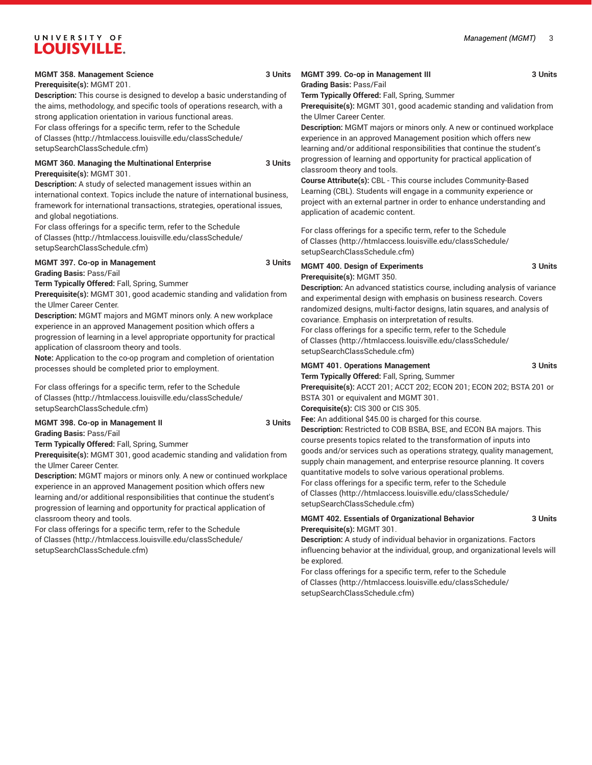#### **MGMT 358. Management Science 3 Units**

**Prerequisite(s):** MGMT 201.

**Description:** This course is designed to develop a basic understanding of the aims, methodology, and specific tools of operations research, with a strong application orientation in various functional areas. For class offerings for a specific term, refer to the [Schedule](http://htmlaccess.louisville.edu/classSchedule/setupSearchClassSchedule.cfm)

[of Classes \(http://htmlaccess.louisville.edu/classSchedule/](http://htmlaccess.louisville.edu/classSchedule/setupSearchClassSchedule.cfm) [setupSearchClassSchedule.cfm\)](http://htmlaccess.louisville.edu/classSchedule/setupSearchClassSchedule.cfm)

#### **MGMT 360. Managing the Multinational Enterprise 3 Units Prerequisite(s):** MGMT 301.

**Description:** A study of selected management issues within an international context. Topics include the nature of international business, framework for international transactions, strategies, operational issues, and global negotiations.

For class offerings for a specific term, refer to the [Schedule](http://htmlaccess.louisville.edu/classSchedule/setupSearchClassSchedule.cfm) [of Classes \(http://htmlaccess.louisville.edu/classSchedule/](http://htmlaccess.louisville.edu/classSchedule/setupSearchClassSchedule.cfm) [setupSearchClassSchedule.cfm\)](http://htmlaccess.louisville.edu/classSchedule/setupSearchClassSchedule.cfm)

#### **MGMT 397. Co-op in Management** 3 Units

**Grading Basis:** Pass/Fail

**Term Typically Offered:** Fall, Spring, Summer

**Prerequisite(s):** MGMT 301, good academic standing and validation from the Ulmer Career Center.

**Description:** MGMT majors and MGMT minors only. A new workplace experience in an approved Management position which offers a progression of learning in a level appropriate opportunity for practical application of classroom theory and tools.

**Note:** Application to the co-op program and completion of orientation processes should be completed prior to employment.

For class offerings for a specific term, refer to the [Schedule](http://htmlaccess.louisville.edu/classSchedule/setupSearchClassSchedule.cfm) [of Classes \(http://htmlaccess.louisville.edu/classSchedule/](http://htmlaccess.louisville.edu/classSchedule/setupSearchClassSchedule.cfm) [setupSearchClassSchedule.cfm\)](http://htmlaccess.louisville.edu/classSchedule/setupSearchClassSchedule.cfm)

## **MGMT 398. Co-op in Management II** 3 Units

**Grading Basis:** Pass/Fail

**Term Typically Offered:** Fall, Spring, Summer

**Prerequisite(s):** MGMT 301, good academic standing and validation from the Ulmer Career Center.

**Description:** MGMT majors or minors only. A new or continued workplace experience in an approved Management position which offers new learning and/or additional responsibilities that continue the student's progression of learning and opportunity for practical application of classroom theory and tools.

For class offerings for a specific term, refer to the [Schedule](http://htmlaccess.louisville.edu/classSchedule/setupSearchClassSchedule.cfm) [of Classes \(http://htmlaccess.louisville.edu/classSchedule/](http://htmlaccess.louisville.edu/classSchedule/setupSearchClassSchedule.cfm) [setupSearchClassSchedule.cfm\)](http://htmlaccess.louisville.edu/classSchedule/setupSearchClassSchedule.cfm)

#### **MGMT 399. Co-op in Management III** 3 Units **Grading Basis:** Pass/Fail

**Term Typically Offered:** Fall, Spring, Summer

**Prerequisite(s):** MGMT 301, good academic standing and validation from the Ulmer Career Center.

**Description:** MGMT majors or minors only. A new or continued workplace experience in an approved Management position which offers new learning and/or additional responsibilities that continue the student's progression of learning and opportunity for practical application of classroom theory and tools.

**Course Attribute(s):** CBL - This course includes Community-Based Learning (CBL). Students will engage in a community experience or project with an external partner in order to enhance understanding and application of academic content.

For class offerings for a specific term, refer to the [Schedule](http://htmlaccess.louisville.edu/classSchedule/setupSearchClassSchedule.cfm) [of Classes](http://htmlaccess.louisville.edu/classSchedule/setupSearchClassSchedule.cfm) ([http://htmlaccess.louisville.edu/classSchedule/](http://htmlaccess.louisville.edu/classSchedule/setupSearchClassSchedule.cfm) [setupSearchClassSchedule.cfm\)](http://htmlaccess.louisville.edu/classSchedule/setupSearchClassSchedule.cfm)

#### **MGMT 400. Design of Experiments 3 Units Prerequisite(s):** MGMT 350.

**Description:** An advanced statistics course, including analysis of variance and experimental design with emphasis on business research. Covers randomized designs, multi-factor designs, latin squares, and analysis of covariance. Emphasis on interpretation of results. For class offerings for a specific term, refer to the [Schedule](http://htmlaccess.louisville.edu/classSchedule/setupSearchClassSchedule.cfm)

[of Classes](http://htmlaccess.louisville.edu/classSchedule/setupSearchClassSchedule.cfm) ([http://htmlaccess.louisville.edu/classSchedule/](http://htmlaccess.louisville.edu/classSchedule/setupSearchClassSchedule.cfm) [setupSearchClassSchedule.cfm\)](http://htmlaccess.louisville.edu/classSchedule/setupSearchClassSchedule.cfm)

#### **MGMT 401. Operations Management 3 Units**

**Term Typically Offered:** Fall, Spring, Summer **Prerequisite(s):** ACCT 201; ACCT 202; ECON 201; ECON 202; BSTA 201 or BSTA 301 or equivalent and MGMT 301.

**Corequisite(s):** CIS 300 or CIS 305.

Fee: An additional \$45.00 is charged for this course.

**Description:** Restricted to COB BSBA, BSE, and ECON BA majors. This course presents topics related to the transformation of inputs into goods and/or services such as operations strategy, quality management, supply chain management, and enterprise resource planning. It covers quantitative models to solve various operational problems. For class offerings for a specific term, refer to the [Schedule](http://htmlaccess.louisville.edu/classSchedule/setupSearchClassSchedule.cfm) [of Classes](http://htmlaccess.louisville.edu/classSchedule/setupSearchClassSchedule.cfm) ([http://htmlaccess.louisville.edu/classSchedule/](http://htmlaccess.louisville.edu/classSchedule/setupSearchClassSchedule.cfm) [setupSearchClassSchedule.cfm\)](http://htmlaccess.louisville.edu/classSchedule/setupSearchClassSchedule.cfm)

#### **MGMT 402. Essentials of Organizational Behavior 3 Units Prerequisite(s):** MGMT 301.

**Description:** A study of individual behavior in organizations. Factors influencing behavior at the individual, group, and organizational levels will be explored.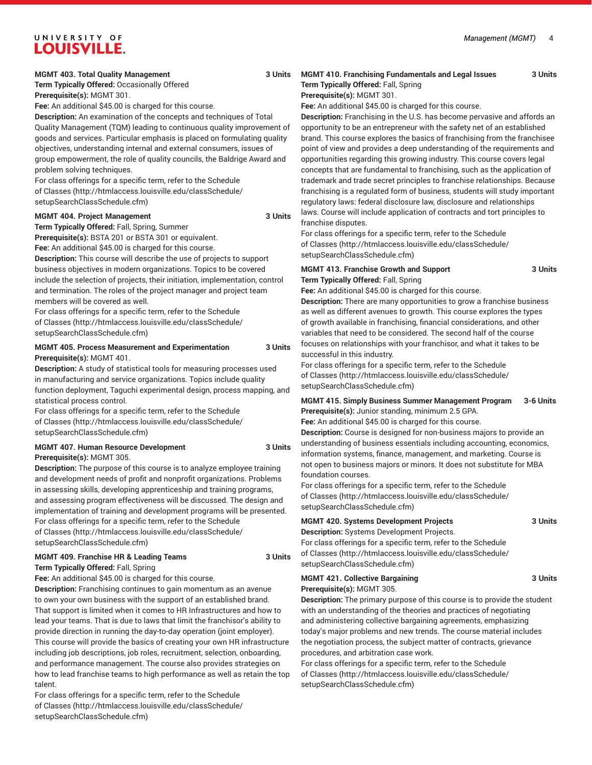#### **MGMT 403. Total Quality Management 3 Units**

**Term Typically Offered:** Occasionally Offered **Prerequisite(s):** MGMT 301.

**Fee:** An additional \$45.00 is charged for this course.

**Description:** An examination of the concepts and techniques of Total Quality Management (TQM) leading to continuous quality improvement of goods and services. Particular emphasis is placed on formulating quality objectives, understanding internal and external consumers, issues of group empowerment, the role of quality councils, the Baldrige Award and problem solving techniques.

For class offerings for a specific term, refer to the [Schedule](http://htmlaccess.louisville.edu/classSchedule/setupSearchClassSchedule.cfm) [of Classes \(http://htmlaccess.louisville.edu/classSchedule/](http://htmlaccess.louisville.edu/classSchedule/setupSearchClassSchedule.cfm) [setupSearchClassSchedule.cfm\)](http://htmlaccess.louisville.edu/classSchedule/setupSearchClassSchedule.cfm)

#### **MGMT 404. Project Management 3 Units**

**Term Typically Offered:** Fall, Spring, Summer **Prerequisite(s):** BSTA 201 or BSTA 301 or equivalent.

**Fee:** An additional \$45.00 is charged for this course.

**Description:** This course will describe the use of projects to support business objectives in modern organizations. Topics to be covered include the selection of projects, their initiation, implementation, control and termination. The roles of the project manager and project team members will be covered as well.

For class offerings for a specific term, refer to the [Schedule](http://htmlaccess.louisville.edu/classSchedule/setupSearchClassSchedule.cfm) [of Classes \(http://htmlaccess.louisville.edu/classSchedule/](http://htmlaccess.louisville.edu/classSchedule/setupSearchClassSchedule.cfm) [setupSearchClassSchedule.cfm\)](http://htmlaccess.louisville.edu/classSchedule/setupSearchClassSchedule.cfm)

#### **MGMT 405. Process Measurement and Experimentation 3 Units Prerequisite(s):** MGMT 401.

**Description:** A study of statistical tools for measuring processes used in manufacturing and service organizations. Topics include quality function deployment, Taguchi experimental design, process mapping, and statistical process control.

For class offerings for a specific term, refer to the [Schedule](http://htmlaccess.louisville.edu/classSchedule/setupSearchClassSchedule.cfm) [of Classes \(http://htmlaccess.louisville.edu/classSchedule/](http://htmlaccess.louisville.edu/classSchedule/setupSearchClassSchedule.cfm) [setupSearchClassSchedule.cfm\)](http://htmlaccess.louisville.edu/classSchedule/setupSearchClassSchedule.cfm)

#### **MGMT 407. Human Resource Development 3 Units Prerequisite(s):** MGMT 305.

**Description:** The purpose of this course is to analyze employee training and development needs of profit and nonprofit organizations. Problems in assessing skills, developing apprenticeship and training programs, and assessing program effectiveness will be discussed. The design and implementation of training and development programs will be presented. For class offerings for a specific term, refer to the [Schedule](http://htmlaccess.louisville.edu/classSchedule/setupSearchClassSchedule.cfm) [of Classes \(http://htmlaccess.louisville.edu/classSchedule/](http://htmlaccess.louisville.edu/classSchedule/setupSearchClassSchedule.cfm) [setupSearchClassSchedule.cfm\)](http://htmlaccess.louisville.edu/classSchedule/setupSearchClassSchedule.cfm)

#### **MGMT 409. Franchise HR & Leading Teams 3 Units Term Typically Offered:** Fall, Spring

**Fee:** An additional \$45.00 is charged for this course.

**Description:** Franchising continues to gain momentum as an avenue to own your own business with the support of an established brand. That support is limited when it comes to HR Infrastructures and how to lead your teams. That is due to laws that limit the franchisor's ability to provide direction in running the day-to-day operation (joint employer). This course will provide the basics of creating your own HR infrastructure including job descriptions, job roles, recruitment, selection, onboarding, and performance management. The course also provides strategies on how to lead franchise teams to high performance as well as retain the top talent.

For class offerings for a specific term, refer to the [Schedule](http://htmlaccess.louisville.edu/classSchedule/setupSearchClassSchedule.cfm) [of Classes \(http://htmlaccess.louisville.edu/classSchedule/](http://htmlaccess.louisville.edu/classSchedule/setupSearchClassSchedule.cfm) [setupSearchClassSchedule.cfm\)](http://htmlaccess.louisville.edu/classSchedule/setupSearchClassSchedule.cfm)

#### **MGMT 410. Franchising Fundamentals and Legal Issues 3 Units**

**Term Typically Offered:** Fall, Spring **Prerequisite(s):** MGMT 301.

**Fee:** An additional \$45.00 is charged for this course.

**Description:** Franchising in the U.S. has become pervasive and affords an opportunity to be an entrepreneur with the safety net of an established brand. This course explores the basics of franchising from the franchisee point of view and provides a deep understanding of the requirements and opportunities regarding this growing industry. This course covers legal concepts that are fundamental to franchising, such as the application of trademark and trade secret principles to franchise relationships. Because franchising is a regulated form of business, students will study important regulatory laws: federal disclosure law, disclosure and relationships laws. Course will include application of contracts and tort principles to

franchise disputes. For class offerings for a specific term, refer to the [Schedule](http://htmlaccess.louisville.edu/classSchedule/setupSearchClassSchedule.cfm)

[of Classes](http://htmlaccess.louisville.edu/classSchedule/setupSearchClassSchedule.cfm) ([http://htmlaccess.louisville.edu/classSchedule/](http://htmlaccess.louisville.edu/classSchedule/setupSearchClassSchedule.cfm) [setupSearchClassSchedule.cfm\)](http://htmlaccess.louisville.edu/classSchedule/setupSearchClassSchedule.cfm)

#### **MGMT 413. Franchise Growth and Support 3 Units Term Typically Offered:** Fall, Spring

**Fee:** An additional \$45.00 is charged for this course.

**Description:** There are many opportunities to grow a franchise business as well as different avenues to growth. This course explores the types of growth available in franchising, financial considerations, and other variables that need to be considered. The second half of the course focuses on relationships with your franchisor, and what it takes to be successful in this industry.

For class offerings for a specific term, refer to the [Schedule](http://htmlaccess.louisville.edu/classSchedule/setupSearchClassSchedule.cfm) [of Classes](http://htmlaccess.louisville.edu/classSchedule/setupSearchClassSchedule.cfm) ([http://htmlaccess.louisville.edu/classSchedule/](http://htmlaccess.louisville.edu/classSchedule/setupSearchClassSchedule.cfm) [setupSearchClassSchedule.cfm\)](http://htmlaccess.louisville.edu/classSchedule/setupSearchClassSchedule.cfm)

#### **MGMT 415. Simply Business Summer Management Program 3-6 Units Prerequisite(s):** Junior standing, minimum 2.5 GPA.

**Fee:** An additional \$45.00 is charged for this course.

**Description:** Course is designed for non-business majors to provide an understanding of business essentials including accounting, economics, information systems, finance, management, and marketing. Course is not open to business majors or minors. It does not substitute for MBA foundation courses.

For class offerings for a specific term, refer to the [Schedule](http://htmlaccess.louisville.edu/classSchedule/setupSearchClassSchedule.cfm) [of Classes](http://htmlaccess.louisville.edu/classSchedule/setupSearchClassSchedule.cfm) ([http://htmlaccess.louisville.edu/classSchedule/](http://htmlaccess.louisville.edu/classSchedule/setupSearchClassSchedule.cfm) [setupSearchClassSchedule.cfm\)](http://htmlaccess.louisville.edu/classSchedule/setupSearchClassSchedule.cfm)

**MGMT 420. Systems Development Projects 3 Units**

**Description:** Systems Development Projects.

For class offerings for a specific term, refer to the [Schedule](http://htmlaccess.louisville.edu/classSchedule/setupSearchClassSchedule.cfm) [of Classes](http://htmlaccess.louisville.edu/classSchedule/setupSearchClassSchedule.cfm) ([http://htmlaccess.louisville.edu/classSchedule/](http://htmlaccess.louisville.edu/classSchedule/setupSearchClassSchedule.cfm) [setupSearchClassSchedule.cfm\)](http://htmlaccess.louisville.edu/classSchedule/setupSearchClassSchedule.cfm)

**MGMT 421. Collective Bargaining 3 Units Prerequisite(s):** MGMT 305.

**Description:** The primary purpose of this course is to provide the student with an understanding of the theories and practices of negotiating and administering collective bargaining agreements, emphasizing today's major problems and new trends. The course material includes the negotiation process, the subject matter of contracts, grievance procedures, and arbitration case work.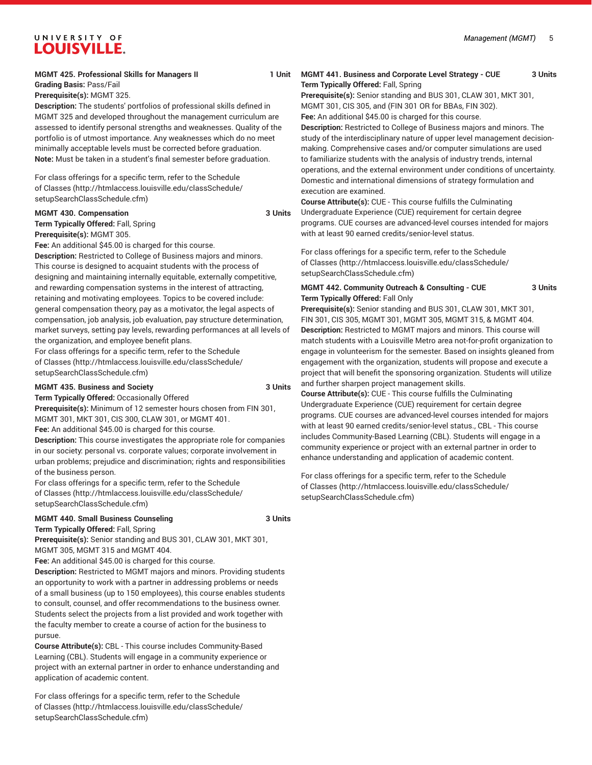#### **MGMT 425. Professional Skills for Managers II** 1 Unit

**Grading Basis:** Pass/Fail

**Prerequisite(s):** MGMT 325.

**Description:** The students' portfolios of professional skills defined in MGMT 325 and developed throughout the management curriculum are assessed to identify personal strengths and weaknesses. Quality of the portfolio is of utmost importance. Any weaknesses which do no meet minimally acceptable levels must be corrected before graduation. **Note:** Must be taken in a student's final semester before graduation.

For class offerings for a specific term, refer to the [Schedule](http://htmlaccess.louisville.edu/classSchedule/setupSearchClassSchedule.cfm) [of Classes \(http://htmlaccess.louisville.edu/classSchedule/](http://htmlaccess.louisville.edu/classSchedule/setupSearchClassSchedule.cfm) [setupSearchClassSchedule.cfm\)](http://htmlaccess.louisville.edu/classSchedule/setupSearchClassSchedule.cfm)

#### **MGMT 430. Compensation** 3 Units

**Term Typically Offered:** Fall, Spring

**Prerequisite(s):** MGMT 305.

**Fee:** An additional \$45.00 is charged for this course.

**Description:** Restricted to College of Business majors and minors. This course is designed to acquaint students with the process of designing and maintaining internally equitable, externally competitive, and rewarding compensation systems in the interest of attracting, retaining and motivating employees. Topics to be covered include: general compensation theory, pay as a motivator, the legal aspects of compensation, job analysis, job evaluation, pay structure determination, market surveys, setting pay levels, rewarding performances at all levels of the organization, and employee benefit plans.

For class offerings for a specific term, refer to the [Schedule](http://htmlaccess.louisville.edu/classSchedule/setupSearchClassSchedule.cfm) [of Classes \(http://htmlaccess.louisville.edu/classSchedule/](http://htmlaccess.louisville.edu/classSchedule/setupSearchClassSchedule.cfm) [setupSearchClassSchedule.cfm\)](http://htmlaccess.louisville.edu/classSchedule/setupSearchClassSchedule.cfm)

#### **MGMT 435. Business and Society 3 Units**

**Term Typically Offered:** Occasionally Offered **Prerequisite(s):** Minimum of 12 semester hours chosen from FIN 301, MGMT 301, MKT 301, CIS 300, CLAW 301, or MGMT 401.

**Fee:** An additional \$45.00 is charged for this course.

**Description:** This course investigates the appropriate role for companies in our society: personal vs. corporate values; corporate involvement in urban problems; prejudice and discrimination; rights and responsibilities of the business person.

For class offerings for a specific term, refer to the [Schedule](http://htmlaccess.louisville.edu/classSchedule/setupSearchClassSchedule.cfm) [of Classes \(http://htmlaccess.louisville.edu/classSchedule/](http://htmlaccess.louisville.edu/classSchedule/setupSearchClassSchedule.cfm) [setupSearchClassSchedule.cfm\)](http://htmlaccess.louisville.edu/classSchedule/setupSearchClassSchedule.cfm)

#### **MGMT 440. Small Business Counseling 3 Units**

**Term Typically Offered:** Fall, Spring

**Prerequisite(s):** Senior standing and BUS 301, CLAW 301, MKT 301, MGMT 305, MGMT 315 and MGMT 404.

**Fee:** An additional \$45.00 is charged for this course.

**Description:** Restricted to MGMT majors and minors. Providing students an opportunity to work with a partner in addressing problems or needs of a small business (up to 150 employees), this course enables students to consult, counsel, and offer recommendations to the business owner. Students select the projects from a list provided and work together with the faculty member to create a course of action for the business to pursue.

**Course Attribute(s):** CBL - This course includes Community-Based Learning (CBL). Students will engage in a community experience or project with an external partner in order to enhance understanding and application of academic content.

For class offerings for a specific term, refer to the [Schedule](http://htmlaccess.louisville.edu/classSchedule/setupSearchClassSchedule.cfm) [of Classes \(http://htmlaccess.louisville.edu/classSchedule/](http://htmlaccess.louisville.edu/classSchedule/setupSearchClassSchedule.cfm) [setupSearchClassSchedule.cfm\)](http://htmlaccess.louisville.edu/classSchedule/setupSearchClassSchedule.cfm)

**MGMT 441. Business and Corporate Level Strategy - CUE 3 Units Term Typically Offered:** Fall, Spring

**Prerequisite(s):** Senior standing and BUS 301, CLAW 301, MKT 301, MGMT 301, CIS 305, and (FIN 301 OR for BBAs, FIN 302). **Fee:** An additional \$45.00 is charged for this course.

**Description:** Restricted to College of Business majors and minors. The study of the interdisciplinary nature of upper level management decisionmaking. Comprehensive cases and/or computer simulations are used to familiarize students with the analysis of industry trends, internal operations, and the external environment under conditions of uncertainty. Domestic and international dimensions of strategy formulation and execution are examined.

**Course Attribute(s):** CUE - This course fulfills the Culminating Undergraduate Experience (CUE) requirement for certain degree programs. CUE courses are advanced-level courses intended for majors with at least 90 earned credits/senior-level status.

For class offerings for a specific term, refer to the [Schedule](http://htmlaccess.louisville.edu/classSchedule/setupSearchClassSchedule.cfm) [of Classes](http://htmlaccess.louisville.edu/classSchedule/setupSearchClassSchedule.cfm) ([http://htmlaccess.louisville.edu/classSchedule/](http://htmlaccess.louisville.edu/classSchedule/setupSearchClassSchedule.cfm) [setupSearchClassSchedule.cfm\)](http://htmlaccess.louisville.edu/classSchedule/setupSearchClassSchedule.cfm)

**MGMT 442. Community Outreach & Consulting - CUE 3 Units Term Typically Offered:** Fall Only

**Prerequisite(s):** Senior standing and BUS 301, CLAW 301, MKT 301, FIN 301, CIS 305, MGMT 301, MGMT 305, MGMT 315, & MGMT 404. **Description:** Restricted to MGMT majors and minors. This course will match students with a Louisville Metro area not-for-profit organization to engage in volunteerism for the semester. Based on insights gleaned from engagement with the organization, students will propose and execute a project that will benefit the sponsoring organization. Students will utilize and further sharpen project management skills.

**Course Attribute(s):** CUE - This course fulfills the Culminating Undergraduate Experience (CUE) requirement for certain degree programs. CUE courses are advanced-level courses intended for majors with at least 90 earned credits/senior-level status., CBL - This course includes Community-Based Learning (CBL). Students will engage in a community experience or project with an external partner in order to enhance understanding and application of academic content.